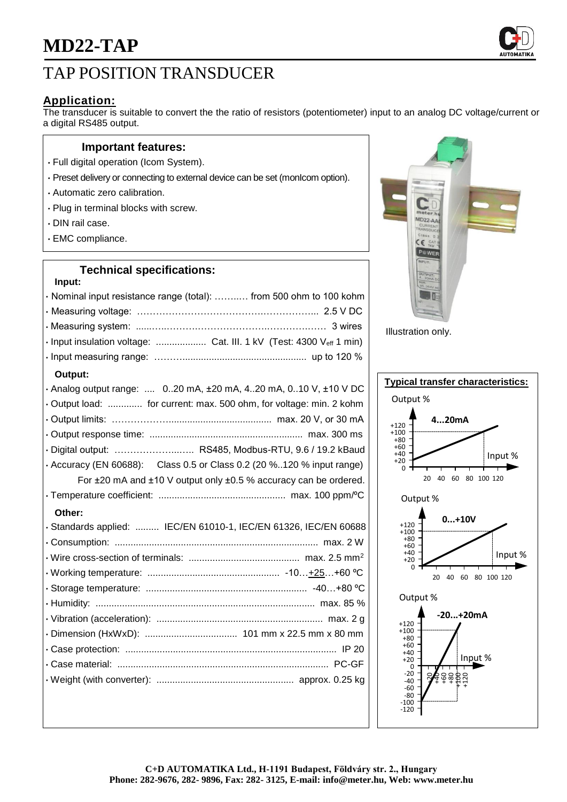# TAP POSITION TRANSDUCER

## **Application:**

The transducer is suitable to convert the the ratio of resistors (potentiometer) input to an analog DC voltage/current or a digital RS485 output.

### **Important features:**

- Full digital operation (Icom System).
- Preset delivery or connecting to external device can be set (monIcom option).
- Automatic zero calibration.
- Plug in terminal blocks with screw.
- DIN rail case.
- EMC compliance.

## **Technical specifications:**

| Input:                                                              |  |
|---------------------------------------------------------------------|--|
| · Nominal input resistance range (total):  from 500 ohm to 100 kohm |  |
|                                                                     |  |
|                                                                     |  |
|                                                                     |  |
|                                                                     |  |

#### **Output:**

| · Analog output range:  020 mA, ±20 mA, 420 mA, 010 V, ±10 V DC       |
|-----------------------------------------------------------------------|
| . Output load:  for current: max. 500 ohm, for voltage: min. 2 kohm   |
|                                                                       |
|                                                                       |
| · Digital output:  RS485, Modbus-RTU, 9.6 / 19.2 kBaud                |
| • Accuracy (EN 60688): Class 0.5 or Class 0.2 (20 %120 % input range) |
| For ±20 mA and ±10 V output only ±0.5 % accuracy can be ordered.      |
|                                                                       |
| Other:                                                                |
| · Standards applied:  IEC/EN 61010-1, IEC/EN 61326, IEC/EN 60688      |
|                                                                       |
|                                                                       |
|                                                                       |
|                                                                       |
|                                                                       |
|                                                                       |
|                                                                       |
|                                                                       |
|                                                                       |
|                                                                       |
|                                                                       |



Illustration only.